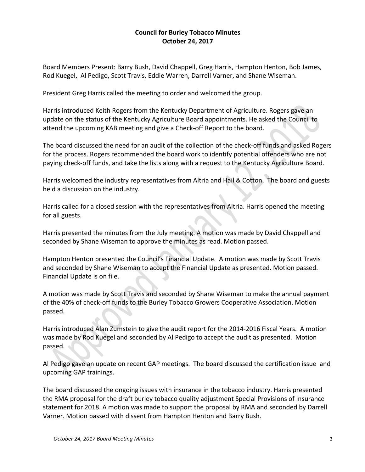## **Council for Burley Tobacco Minutes October 24, 2017**

Board Members Present: Barry Bush, David Chappell, Greg Harris, Hampton Henton, Bob James, Rod Kuegel, Al Pedigo, Scott Travis, Eddie Warren, Darrell Varner, and Shane Wiseman.

President Greg Harris called the meeting to order and welcomed the group.

Harris introduced Keith Rogers from the Kentucky Department of Agriculture. Rogers gave an update on the status of the Kentucky Agriculture Board appointments. He asked the Council to attend the upcoming KAB meeting and give a Check‐off Report to the board.

The board discussed the need for an audit of the collection of the check‐off funds and asked Rogers for the process. Rogers recommended the board work to identify potential offenders who are not paying check‐off funds, and take the lists along with a request to the Kentucky Agriculture Board.

Harris welcomed the industry representatives from Altria and Hail & Cotton. The board and guests held a discussion on the industry.

Harris called for a closed session with the representatives from Altria. Harris opened the meeting for all guests.

Harris presented the minutes from the July meeting. A motion was made by David Chappell and seconded by Shane Wiseman to approve the minutes as read. Motion passed.

Hampton Henton presented the Council's Financial Update. A motion was made by Scott Travis and seconded by Shane Wiseman to accept the Financial Update as presented. Motion passed. Financial Update is on file.

A motion was made by Scott Travis and seconded by Shane Wiseman to make the annual payment of the 40% of check‐off funds to the Burley Tobacco Growers Cooperative Association. Motion passed.

Harris introduced Alan Zumstein to give the audit report for the 2014‐2016 Fiscal Years. A motion was made by Rod Kuegel and seconded by Al Pedigo to accept the audit as presented. Motion passed.

Al Pedigo gave an update on recent GAP meetings. The board discussed the certification issue and upcoming GAP trainings.

The board discussed the ongoing issues with insurance in the tobacco industry. Harris presented the RMA proposal for the draft burley tobacco quality adjustment Special Provisions of Insurance statement for 2018. A motion was made to support the proposal by RMA and seconded by Darrell Varner. Motion passed with dissent from Hampton Henton and Barry Bush.